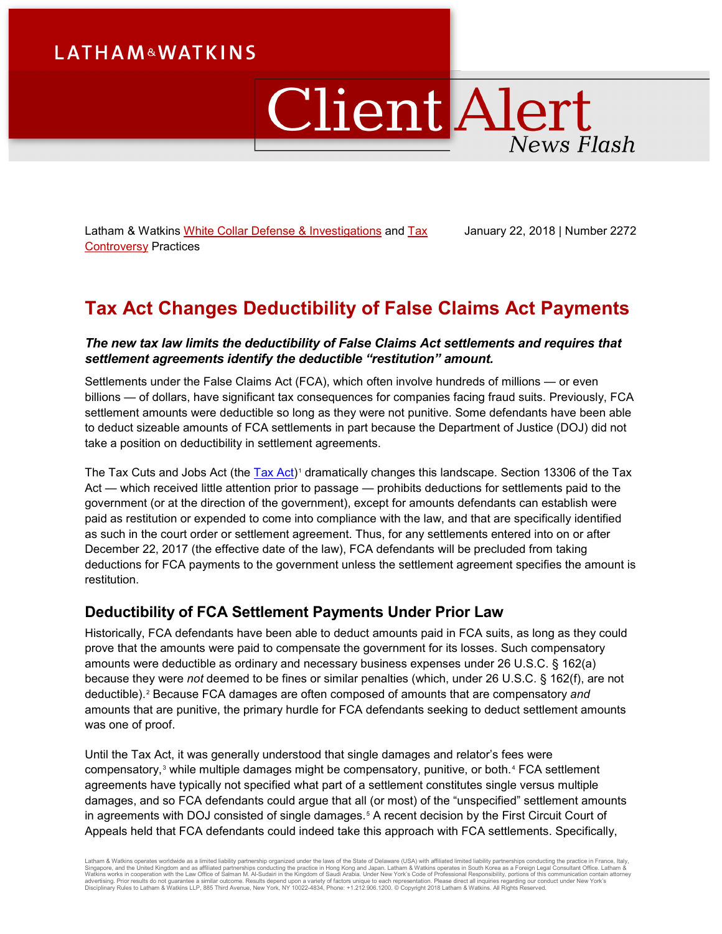# **LATHAM&WATKINS**

# Client Alert **News Flash**

Latham & Watkins [White Collar Defense & Investigations](https://www.lw.com/practices/WhiteCollarDefenseandInvestigations) and Tax [Controversy](https://www.lw.com/practices/TaxControversy) Practices

January 22, 2018 | Number 2272

# **Tax Act Changes Deductibility of False Claims Act Payments**

#### *The new tax law limits the deductibility of False Claims Act settlements and requires that settlement agreements identify the deductible "restitution" amount.*

Settlements under the False Claims Act (FCA), which often involve hundreds of millions — or even billions — of dollars, have significant tax consequences for companies facing fraud suits. Previously, FCA settlement amounts were deductible so long as they were not punitive. Some defendants have been able to deduct sizeable amounts of FCA settlements in part because the Department of Justice (DOJ) did not take a position on deductibility in settlement agreements.

The Tax Cuts and Jobs Act (the [Tax Act\)](https://www.congress.gov/115/bills/hr1/BILLS-115hr1enr.pdf)<sup>[1](#page-2-0)</sup> dramatically changes this landscape. Section 13306 of the Tax Act — which received little attention prior to passage — prohibits deductions for settlements paid to the government (or at the direction of the government), except for amounts defendants can establish were paid as restitution or expended to come into compliance with the law, and that are specifically identified as such in the court order or settlement agreement. Thus, for any settlements entered into on or after December 22, 2017 (the effective date of the law), FCA defendants will be precluded from taking deductions for FCA payments to the government unless the settlement agreement specifies the amount is restitution.

### **Deductibility of FCA Settlement Payments Under Prior Law**

Historically, FCA defendants have been able to deduct amounts paid in FCA suits, as long as they could prove that the amounts were paid to compensate the government for its losses. Such compensatory amounts were deductible as ordinary and necessary business expenses under 26 U.S.C. § 162(a) because they were *not* deemed to be fines or similar penalties (which, under 26 U.S.C. § 162(f), are not deductible).[2](#page-2-1) Because FCA damages are often composed of amounts that are compensatory *and* amounts that are punitive, the primary hurdle for FCA defendants seeking to deduct settlement amounts was one of proof.

Until the Tax Act, it was generally understood that single damages and relator's fees were compensatory,<sup>[3](#page-2-2)</sup> while multiple damages might be compensatory, punitive, or both.<sup>[4](#page-2-3)</sup> FCA settlement agreements have typically not specified what part of a settlement constitutes single versus multiple damages, and so FCA defendants could argue that all (or most) of the "unspecified" settlement amounts in agreements with DOJ consisted of single damages.<sup>[5](#page-2-4)</sup> A recent decision by the First Circuit Court of Appeals held that FCA defendants could indeed take this approach with FCA settlements. Specifically,

Latham & Watkins operates worldwide as a limited liability partnership organized under the laws of the State of Delaware (USA) with affiliated limited liability partnerships conducting the practice in France, Italy,<br>Singap Disciplinary Rules to Latham & Watkins LLP, 885 Third Avenue, New York, NY 10022-4834, Phone: +1.212.906.1200. © Copyright 2018 Latham & Watkins. All Rights Reserved.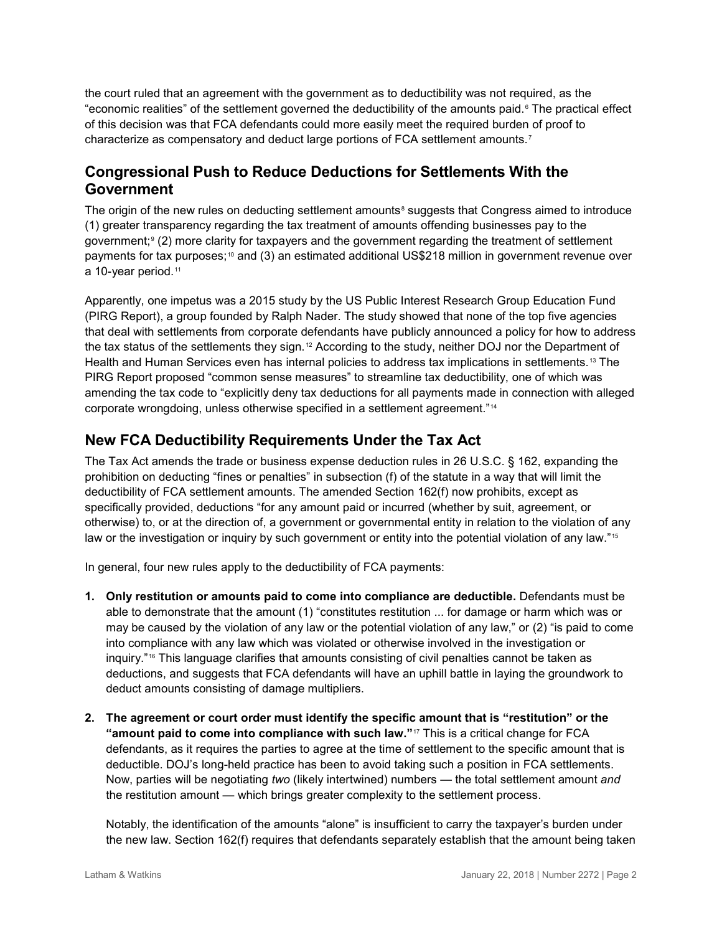the court ruled that an agreement with the government as to deductibility was not required, as the "economic realities" of the settlement governed the deductibility of the amounts paid.<sup>[6](#page-2-5)</sup> The practical effect of this decision was that FCA defendants could more easily meet the required burden of proof to characterize as compensatory and deduct large portions of FCA settlement amounts.[7](#page-2-6)

## **Congressional Push to Reduce Deductions for Settlements With the Government**

The origin of the new rules on deducting settlement amounts<sup>[8](#page-2-7)</sup> suggests that Congress aimed to introduce (1) greater transparency regarding the tax treatment of amounts offending businesses pay to the government;<sup>[9](#page-2-8)</sup> (2) more clarity for taxpayers and the government regarding the treatment of settlement payments for tax purposes;[10](#page-2-9) and (3) an estimated additional US\$218 million in government revenue over a 10-year period.<sup>[11](#page-2-10)</sup>

Apparently, one impetus was a 2015 study by the US Public Interest Research Group Education Fund (PIRG Report), a group founded by Ralph Nader. The study showed that none of the top five agencies that deal with settlements from corporate defendants have publicly announced a policy for how to address the tax status of the settlements they sign. [12](#page-2-11) According to the study, neither DOJ nor the Department of Health and Human Services even has internal policies to address tax implications in settlements.<sup>[13](#page-2-12)</sup> The PIRG Report proposed "common sense measures" to streamline tax deductibility, one of which was amending the tax code to "explicitly deny tax deductions for all payments made in connection with alleged corporate wrongdoing, unless otherwise specified in a settlement agreement."[14](#page-2-13)

# **New FCA Deductibility Requirements Under the Tax Act**

The Tax Act amends the trade or business expense deduction rules in 26 U.S.C. § 162, expanding the prohibition on deducting "fines or penalties" in subsection (f) of the statute in a way that will limit the deductibility of FCA settlement amounts. The amended Section 162(f) now prohibits, except as specifically provided, deductions "for any amount paid or incurred (whether by suit, agreement, or otherwise) to, or at the direction of, a government or governmental entity in relation to the violation of any law or the investigation or inquiry by such government or entity into the potential violation of any law."<sup>[15](#page-2-14)</sup>

In general, four new rules apply to the deductibility of FCA payments:

- **1. Only restitution or amounts paid to come into compliance are deductible.** Defendants must be able to demonstrate that the amount (1) "constitutes restitution ... for damage or harm which was or may be caused by the violation of any law or the potential violation of any law," or (2) "is paid to come into compliance with any law which was violated or otherwise involved in the investigation or inquiry."[16](#page-2-15) This language clarifies that amounts consisting of civil penalties cannot be taken as deductions, and suggests that FCA defendants will have an uphill battle in laying the groundwork to deduct amounts consisting of damage multipliers.
- **2. The agreement or court order must identify the specific amount that is "restitution" or the "amount paid to come into compliance with such law."**[17](#page-2-16) This is a critical change for FCA defendants, as it requires the parties to agree at the time of settlement to the specific amount that is deductible. DOJ's long-held practice has been to avoid taking such a position in FCA settlements. Now, parties will be negotiating *two* (likely intertwined) numbers — the total settlement amount *and* the restitution amount — which brings greater complexity to the settlement process.

Notably, the identification of the amounts "alone" is insufficient to carry the taxpayer's burden under the new law. Section 162(f) requires that defendants separately establish that the amount being taken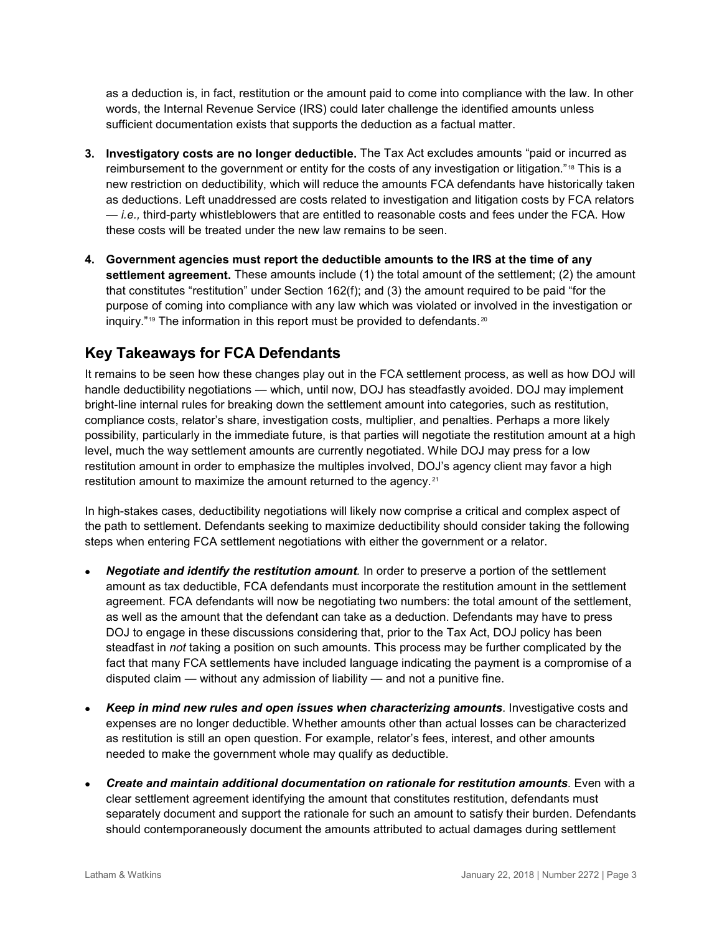as a deduction is, in fact, restitution or the amount paid to come into compliance with the law. In other words, the Internal Revenue Service (IRS) could later challenge the identified amounts unless sufficient documentation exists that supports the deduction as a factual matter.

- <span id="page-2-2"></span><span id="page-2-1"></span><span id="page-2-0"></span>**3. Investigatory costs are no longer deductible.** The Tax Act excludes amounts "paid or incurred as reimbursement to the government or entity for the costs of any investigation or litigation."[18](#page-2-17) This is a new restriction on deductibility, which will reduce the amounts FCA defendants have historically taken as deductions. Left unaddressed are costs related to investigation and litigation costs by FCA relators — *i.e.,* third-party whistleblowers that are entitled to reasonable costs and fees under the FCA. How these costs will be treated under the new law remains to be seen.
- <span id="page-2-6"></span><span id="page-2-5"></span><span id="page-2-4"></span><span id="page-2-3"></span>**4. Government agencies must report the deductible amounts to the IRS at the time of any settlement agreement.** These amounts include (1) the total amount of the settlement; (2) the amount that constitutes "restitution" under Section 162(f); and (3) the amount required to be paid "for the purpose of coming into compliance with any law which was violated or involved in the investigation or inquiry."<sup>[19](#page-2-18)</sup> The information in this report must be provided to defendants.<sup>[20](#page-2-19)</sup>

# <span id="page-2-7"></span>**Key Takeaways for FCA Defendants**

<span id="page-2-9"></span><span id="page-2-8"></span>It remains to be seen how these changes play out in the FCA settlement process, as well as how DOJ will handle deductibility negotiations — which, until now, DOJ has steadfastly avoided. DOJ may implement bright-line internal rules for breaking down the settlement amount into categories, such as restitution, compliance costs, relator's share, investigation costs, multiplier, and penalties. Perhaps a more likely possibility, particularly in the immediate future, is that parties will negotiate the restitution amount at a high level, much the way settlement amounts are currently negotiated. While DOJ may press for a low restitution amount in order to emphasize the multiples involved, DOJ's agency client may favor a high restitution amount to maximize the amount returned to the agency.<sup>[21](#page-2-20)</sup>

<span id="page-2-13"></span><span id="page-2-12"></span><span id="page-2-11"></span><span id="page-2-10"></span>In high-stakes cases, deductibility negotiations will likely now comprise a critical and complex aspect of the path to settlement. Defendants seeking to maximize deductibility should consider taking the following steps when entering FCA settlement negotiations with either the government or a relator.

- <span id="page-2-20"></span><span id="page-2-19"></span><span id="page-2-18"></span><span id="page-2-17"></span><span id="page-2-16"></span><span id="page-2-15"></span><span id="page-2-14"></span>• *Negotiate and identify the restitution amount.* In order to preserve a portion of the settlement amount as tax deductible, FCA defendants must incorporate the restitution amount in the settlement agreement. FCA defendants will now be negotiating two numbers: the total amount of the settlement, as well as the amount that the defendant can take as a deduction. Defendants may have to press DOJ to engage in these discussions considering that, prior to the Tax Act, DOJ policy has been steadfast in *not* taking a position on such amounts. This process may be further complicated by the fact that many FCA settlements have included language indicating the payment is a compromise of a disputed claim — without any admission of liability — and not a punitive fine.
- <span id="page-2-21"></span>• *Keep in mind new rules and open issues when characterizing amounts*. Investigative costs and expenses are no longer deductible. Whether amounts other than actual losses can be characterized as restitution is still an open question. For example, relator's fees, interest, and other amounts needed to make the government whole may qualify as deductible.
- *Create and maintain additional documentation on rationale for restitution amounts.* Even with a clear settlement agreement identifying the amount that constitutes restitution, defendants must separately document and support the rationale for such an amount to satisfy their burden. Defendants should contemporaneously document the amounts attributed to actual damages during settlement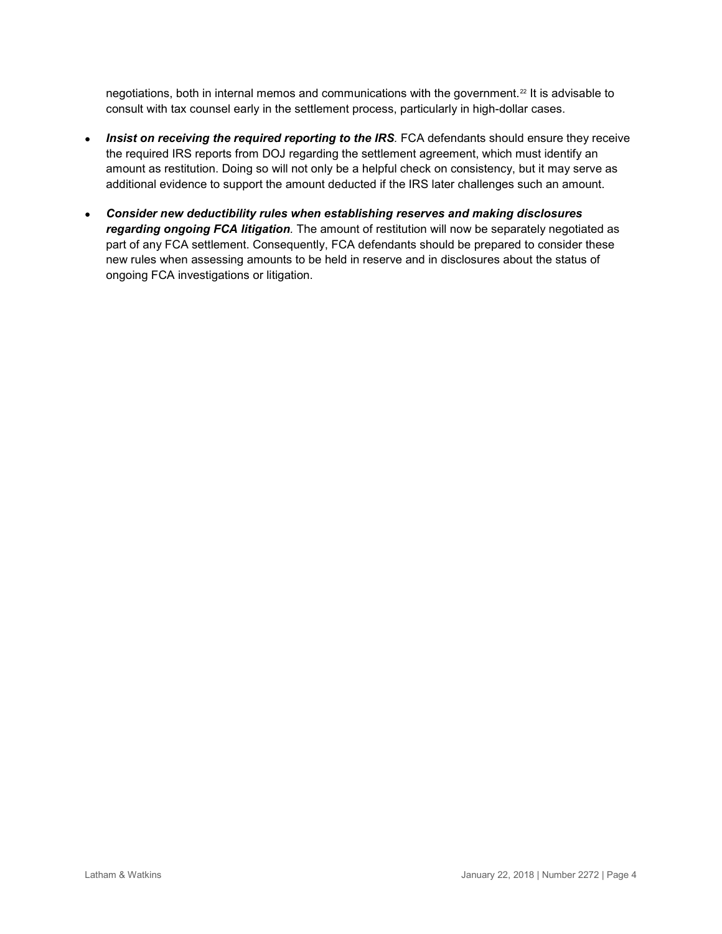negotiations, both in internal memos and communications with the government.[22](#page-2-21) It is advisable to consult with tax counsel early in the settlement process, particularly in high-dollar cases.

- *Insist on receiving the required reporting to the IRS.* FCA defendants should ensure they receive the required IRS reports from DOJ regarding the settlement agreement, which must identify an amount as restitution. Doing so will not only be a helpful check on consistency, but it may serve as additional evidence to support the amount deducted if the IRS later challenges such an amount.
- *Consider new deductibility rules when establishing reserves and making disclosures regarding ongoing FCA litigation.* The amount of restitution will now be separately negotiated as part of any FCA settlement. Consequently, FCA defendants should be prepared to consider these new rules when assessing amounts to be held in reserve and in disclosures about the status of ongoing FCA investigations or litigation.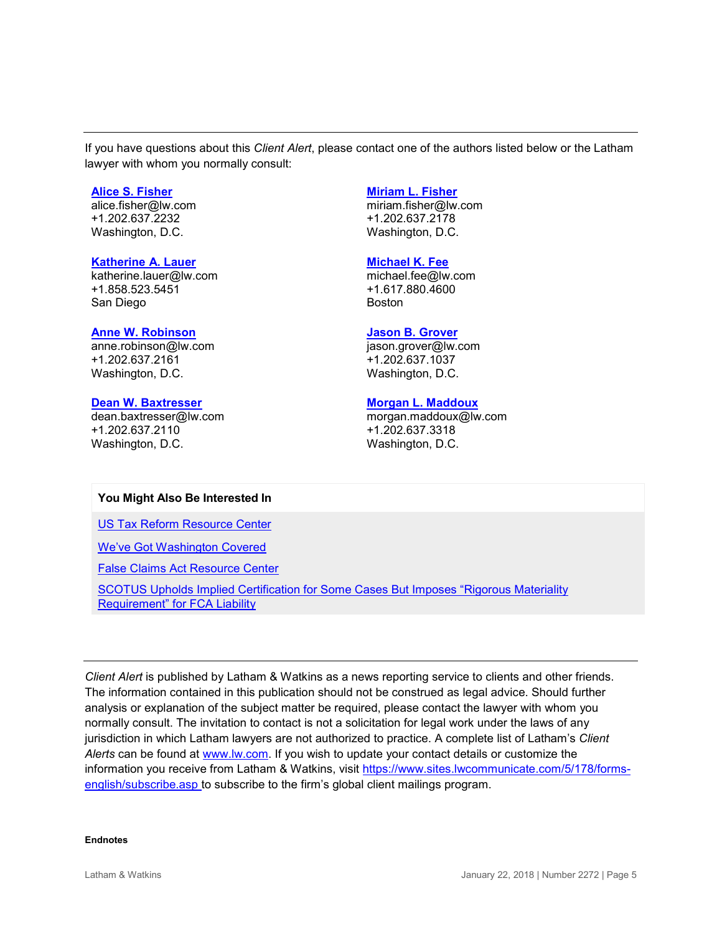If you have questions about this *Client Alert*, please contact one of the authors listed below or the Latham lawyer with whom you normally consult:

#### **[Alice S. Fisher](https://www.lw.com/people/alice-fisher)**

[alice.fisher@lw.com](mailto:alice.fisher@lw.com) +1.202.637.2232 Washington, D.C.

#### **[Katherine A. Lauer](https://www.lw.com/people/katherine-lauer)**

[katherine.lauer@lw.com](mailto:katherine.lauer@lw.com) +1.858.523.5451 San Diego

#### **[Anne W. Robinson](https://www.lw.com/people/anne-robinson)**

[anne.robinson@lw.com](mailto:anne.robinson@lw.com)  +1.202.637.2161 Washington, D.C.

#### **[Dean W. Baxtresser](https://www.lw.com/people/dean-baxtresser)**

[dean.baxtresser@lw.com](mailto:dean.baxtresser@lw.com) +1.202.637.2110 Washington, D.C.

#### **[Miriam L. Fisher](https://www.lw.com/people/miriam-fisher)**

[miriam.fisher@lw.com](mailto:miriam.fisher@lw.com) +1.202.637.2178 Washington, D.C.

#### **[Michael K. Fee](https://www.lw.com/people/michael-fee)**

[michael.fee@lw.com](mailto:michael.fee@lw.com) +1.617.880.4600 Boston

#### **[Jason B. Grover](https://www.lw.com/people/jason-grover)**

[jason.grover@lw.com](mailto:jason.grover@lw.com) +1.202.637.1037 Washington, D.C.

#### **[Morgan L. Maddoux](https://www.lw.com/people/morgan-maddoux)**

[morgan.maddoux@lw.com](mailto:morgan.maddoux@lw.com) +1.202.637.3318 Washington, D.C.

#### **You Might Also Be Interested In**

[US Tax Reform Resource Center](https://www.lw.com/practices/USTaxReform)

[We've Got Washington Covered](https://www.lw.com/practices/wevegotwashingtoncovered)

[False Claims Act Resource Center](https://www.lw.com/FCALogin.aspx)

[SCOTUS Upholds Implied Certification for Some Cases But Imposes "Rigorous Materiality](https://m.lw.com/thoughtLeadership/SCOTUS-upholds-implied-certification-for-some-cases)  [Requirement" for FCA Liability](https://m.lw.com/thoughtLeadership/SCOTUS-upholds-implied-certification-for-some-cases)

*Client Alert* is published by Latham & Watkins as a news reporting service to clients and other friends. The information contained in this publication should not be construed as legal advice. Should further analysis or explanation of the subject matter be required, please contact the lawyer with whom you normally consult. The invitation to contact is not a solicitation for legal work under the laws of any jurisdiction in which Latham lawyers are not authorized to practice. A complete list of Latham's *Client Alerts* can be found at [www.lw.com.](http://www.lw.com/) If you wish to update your contact details or customize the information you receive from Latham & Watkins, visit [https://www.sites.lwcommunicate.com/5/178/forms](https://www.sites.lwcommunicate.com/5/178/forms-english/subscribe.asp)[english/subscribe.asp](https://www.sites.lwcommunicate.com/5/178/forms-english/subscribe.asp) to subscribe to the firm's global client mailings program.

#### **Endnotes**